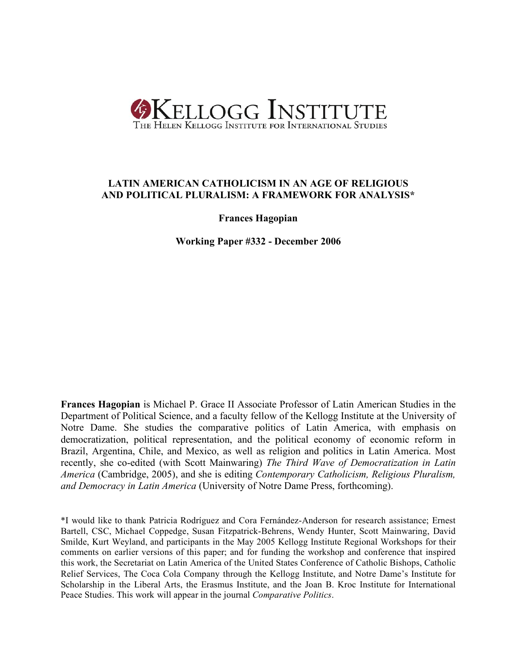

# **LATIN AMERICAN CATHOLICISM IN AN AGE OF RELIGIOUS AND POLITICAL PLURALISM: A FRAMEWORK FOR ANALYSIS\***

**Frances Hagopian**

**Working Paper #332 - December 2006**

**Frances Hagopian** is Michael P. Grace II Associate Professor of Latin American Studies in the Department of Political Science, and a faculty fellow of the Kellogg Institute at the University of Notre Dame. She studies the comparative politics of Latin America, with emphasis on democratization, political representation, and the political economy of economic reform in Brazil, Argentina, Chile, and Mexico, as well as religion and politics in Latin America. Most recently, she co-edited (with Scott Mainwaring) *The Third Wave of Democratization in Latin America* (Cambridge, 2005), and she is editing *Contemporary Catholicism, Religious Pluralism, and Democracy in Latin America* (University of Notre Dame Press, forthcoming).

\*I would like to thank Patricia Rodríguez and Cora Fernández-Anderson for research assistance; Ernest Bartell, CSC, Michael Coppedge, Susan Fitzpatrick-Behrens, Wendy Hunter, Scott Mainwaring, David Smilde, Kurt Weyland, and participants in the May 2005 Kellogg Institute Regional Workshops for their comments on earlier versions of this paper; and for funding the workshop and conference that inspired this work, the Secretariat on Latin America of the United States Conference of Catholic Bishops, Catholic Relief Services, The Coca Cola Company through the Kellogg Institute, and Notre Dame's Institute for Scholarship in the Liberal Arts, the Erasmus Institute, and the Joan B. Kroc Institute for International Peace Studies. This work will appear in the journal *Comparative Politics*.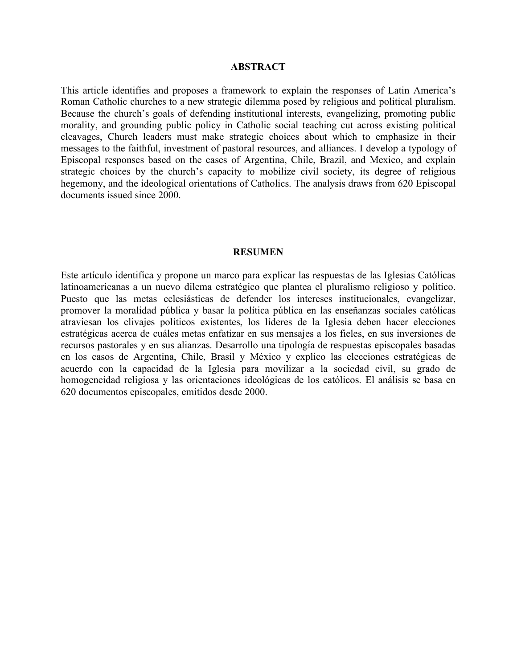# **ABSTRACT**

This article identifies and proposes a framework to explain the responses of Latin America's Roman Catholic churches to a new strategic dilemma posed by religious and political pluralism. Because the church's goals of defending institutional interests, evangelizing, promoting public morality, and grounding public policy in Catholic social teaching cut across existing political cleavages, Church leaders must make strategic choices about which to emphasize in their messages to the faithful, investment of pastoral resources, and alliances. I develop a typology of Episcopal responses based on the cases of Argentina, Chile, Brazil, and Mexico, and explain strategic choices by the church's capacity to mobilize civil society, its degree of religious hegemony, and the ideological orientations of Catholics. The analysis draws from 620 Episcopal documents issued since 2000.

# **RESUMEN**

Este artículo identifica y propone un marco para explicar las respuestas de las Iglesias Católicas latinoamericanas a un nuevo dilema estratégico que plantea el pluralismo religioso y político. Puesto que las metas eclesiásticas de defender los intereses institucionales, evangelizar, promover la moralidad pública y basar la política pública en las enseñanzas sociales católicas atraviesan los clivajes políticos existentes, los líderes de la Iglesia deben hacer elecciones estratégicas acerca de cuáles metas enfatizar en sus mensajes a los fieles, en sus inversiones de recursos pastorales y en sus alianzas. Desarrollo una tipología de respuestas episcopales basadas en los casos de Argentina, Chile, Brasil y México y explico las elecciones estratégicas de acuerdo con la capacidad de la Iglesia para movilizar a la sociedad civil, su grado de homogeneidad religiosa y las orientaciones ideológicas de los católicos. El análisis se basa en 620 documentos episcopales, emitidos desde 2000.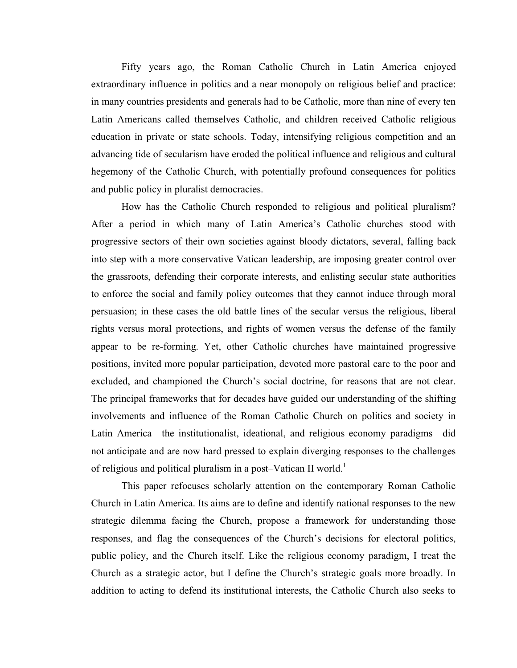Fifty years ago, the Roman Catholic Church in Latin America enjoyed extraordinary influence in politics and a near monopoly on religious belief and practice: in many countries presidents and generals had to be Catholic, more than nine of every ten Latin Americans called themselves Catholic, and children received Catholic religious education in private or state schools. Today, intensifying religious competition and an advancing tide of secularism have eroded the political influence and religious and cultural hegemony of the Catholic Church, with potentially profound consequences for politics and public policy in pluralist democracies.

How has the Catholic Church responded to religious and political pluralism? After a period in which many of Latin America's Catholic churches stood with progressive sectors of their own societies against bloody dictators, several, falling back into step with a more conservative Vatican leadership, are imposing greater control over the grassroots, defending their corporate interests, and enlisting secular state authorities to enforce the social and family policy outcomes that they cannot induce through moral persuasion; in these cases the old battle lines of the secular versus the religious, liberal rights versus moral protections, and rights of women versus the defense of the family appear to be re-forming. Yet, other Catholic churches have maintained progressive positions, invited more popular participation, devoted more pastoral care to the poor and excluded, and championed the Church's social doctrine, for reasons that are not clear. The principal frameworks that for decades have guided our understanding of the shifting involvements and influence of the Roman Catholic Church on politics and society in Latin America—the institutionalist, ideational, and religious economy paradigms—did not anticipate and are now hard pressed to explain diverging responses to the challenges of religious and political pluralism in a post–Vatican II world.<sup>1</sup>

This paper refocuses scholarly attention on the contemporary Roman Catholic Church in Latin America. Its aims are to define and identify national responses to the new strategic dilemma facing the Church, propose a framework for understanding those responses, and flag the consequences of the Church's decisions for electoral politics, public policy, and the Church itself. Like the religious economy paradigm, I treat the Church as a strategic actor, but I define the Church's strategic goals more broadly. In addition to acting to defend its institutional interests, the Catholic Church also seeks to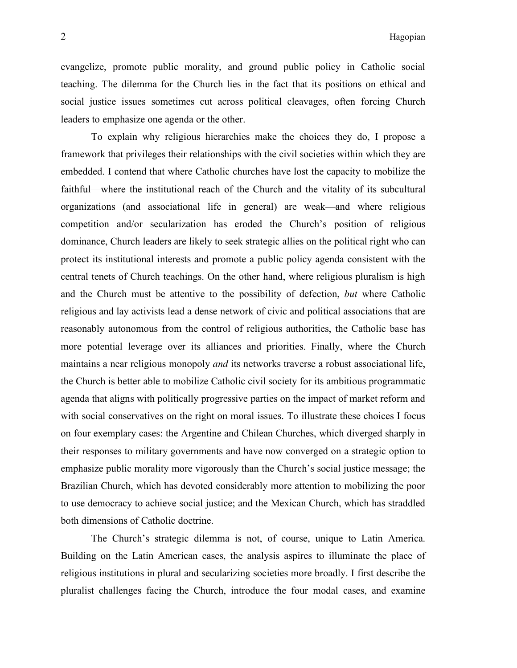evangelize, promote public morality, and ground public policy in Catholic social teaching. The dilemma for the Church lies in the fact that its positions on ethical and social justice issues sometimes cut across political cleavages, often forcing Church leaders to emphasize one agenda or the other.

To explain why religious hierarchies make the choices they do, I propose a framework that privileges their relationships with the civil societies within which they are embedded. I contend that where Catholic churches have lost the capacity to mobilize the faithful—where the institutional reach of the Church and the vitality of its subcultural organizations (and associational life in general) are weak—and where religious competition and/or secularization has eroded the Church's position of religious dominance, Church leaders are likely to seek strategic allies on the political right who can protect its institutional interests and promote a public policy agenda consistent with the central tenets of Church teachings. On the other hand, where religious pluralism is high and the Church must be attentive to the possibility of defection, *but* where Catholic religious and lay activists lead a dense network of civic and political associations that are reasonably autonomous from the control of religious authorities, the Catholic base has more potential leverage over its alliances and priorities. Finally, where the Church maintains a near religious monopoly *and* its networks traverse a robust associational life, the Church is better able to mobilize Catholic civil society for its ambitious programmatic agenda that aligns with politically progressive parties on the impact of market reform and with social conservatives on the right on moral issues. To illustrate these choices I focus on four exemplary cases: the Argentine and Chilean Churches, which diverged sharply in their responses to military governments and have now converged on a strategic option to emphasize public morality more vigorously than the Church's social justice message; the Brazilian Church, which has devoted considerably more attention to mobilizing the poor to use democracy to achieve social justice; and the Mexican Church, which has straddled both dimensions of Catholic doctrine.

The Church's strategic dilemma is not, of course, unique to Latin America. Building on the Latin American cases, the analysis aspires to illuminate the place of religious institutions in plural and secularizing societies more broadly. I first describe the pluralist challenges facing the Church, introduce the four modal cases, and examine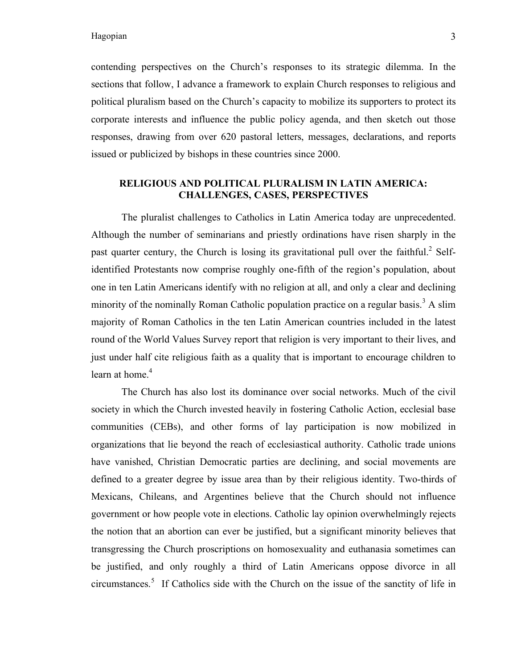contending perspectives on the Church's responses to its strategic dilemma. In the sections that follow, I advance a framework to explain Church responses to religious and political pluralism based on the Church's capacity to mobilize its supporters to protect its corporate interests and influence the public policy agenda, and then sketch out those responses, drawing from over 620 pastoral letters, messages, declarations, and reports issued or publicized by bishops in these countries since 2000.

# **RELIGIOUS AND POLITICAL PLURALISM IN LATIN AMERICA: CHALLENGES, CASES, PERSPECTIVES**

The pluralist challenges to Catholics in Latin America today are unprecedented. Although the number of seminarians and priestly ordinations have risen sharply in the past quarter century, the Church is losing its gravitational pull over the faithful.<sup>2</sup> Selfidentified Protestants now comprise roughly one-fifth of the region's population, about one in ten Latin Americans identify with no religion at all, and only a clear and declining minority of the nominally Roman Catholic population practice on a regular basis.<sup>3</sup> A slim majority of Roman Catholics in the ten Latin American countries included in the latest round of the World Values Survey report that religion is very important to their lives, and just under half cite religious faith as a quality that is important to encourage children to learn at home. 4

The Church has also lost its dominance over social networks. Much of the civil society in which the Church invested heavily in fostering Catholic Action, ecclesial base communities (CEBs), and other forms of lay participation is now mobilized in organizations that lie beyond the reach of ecclesiastical authority. Catholic trade unions have vanished, Christian Democratic parties are declining, and social movements are defined to a greater degree by issue area than by their religious identity. Two-thirds of Mexicans, Chileans, and Argentines believe that the Church should not influence government or how people vote in elections. Catholic lay opinion overwhelmingly rejects the notion that an abortion can ever be justified, but a significant minority believes that transgressing the Church proscriptions on homosexuality and euthanasia sometimes can be justified, and only roughly a third of Latin Americans oppose divorce in all circumstances. <sup>5</sup> If Catholics side with the Church on the issue of the sanctity of life in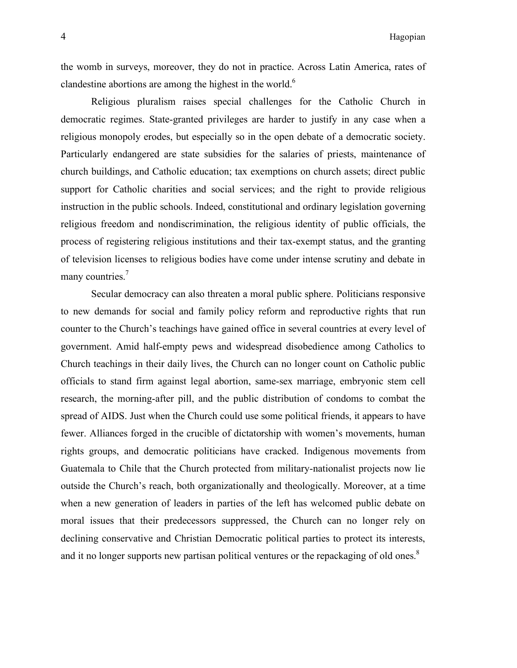the womb in surveys, moreover, they do not in practice. Across Latin America, rates of clandestine abortions are among the highest in the world. $<sup>6</sup>$ </sup>

Religious pluralism raises special challenges for the Catholic Church in democratic regimes. State-granted privileges are harder to justify in any case when a religious monopoly erodes, but especially so in the open debate of a democratic society. Particularly endangered are state subsidies for the salaries of priests, maintenance of church buildings, and Catholic education; tax exemptions on church assets; direct public support for Catholic charities and social services; and the right to provide religious instruction in the public schools. Indeed, constitutional and ordinary legislation governing religious freedom and nondiscrimination, the religious identity of public officials, the process of registering religious institutions and their tax-exempt status, and the granting of television licenses to religious bodies have come under intense scrutiny and debate in many countries.<sup>7</sup>

Secular democracy can also threaten a moral public sphere. Politicians responsive to new demands for social and family policy reform and reproductive rights that run counter to the Church's teachings have gained office in several countries at every level of government. Amid half-empty pews and widespread disobedience among Catholics to Church teachings in their daily lives, the Church can no longer count on Catholic public officials to stand firm against legal abortion, same-sex marriage, embryonic stem cell research, the morning-after pill, and the public distribution of condoms to combat the spread of AIDS. Just when the Church could use some political friends, it appears to have fewer. Alliances forged in the crucible of dictatorship with women's movements, human rights groups, and democratic politicians have cracked. Indigenous movements from Guatemala to Chile that the Church protected from military-nationalist projects now lie outside the Church's reach, both organizationally and theologically. Moreover, at a time when a new generation of leaders in parties of the left has welcomed public debate on moral issues that their predecessors suppressed, the Church can no longer rely on declining conservative and Christian Democratic political parties to protect its interests, and it no longer supports new partisan political ventures or the repackaging of old ones.<sup>8</sup>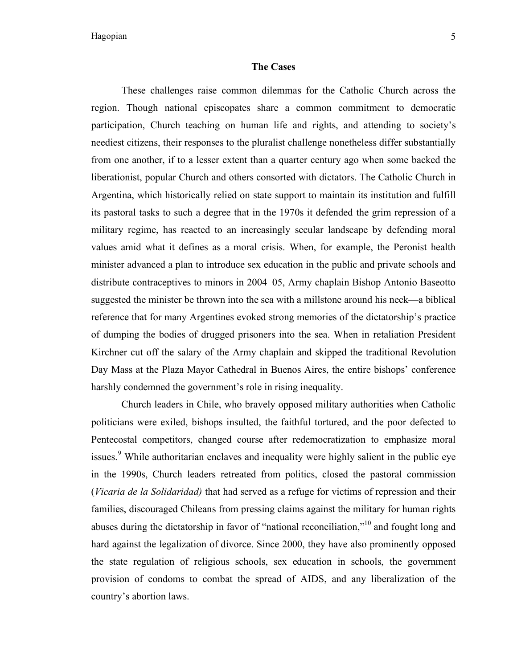# **The Cases**

These challenges raise common dilemmas for the Catholic Church across the region. Though national episcopates share a common commitment to democratic participation, Church teaching on human life and rights, and attending to society's neediest citizens, their responses to the pluralist challenge nonetheless differ substantially from one another, if to a lesser extent than a quarter century ago when some backed the liberationist, popular Church and others consorted with dictators. The Catholic Church in Argentina, which historically relied on state support to maintain its institution and fulfill its pastoral tasks to such a degree that in the 1970s it defended the grim repression of a military regime, has reacted to an increasingly secular landscape by defending moral values amid what it defines as a moral crisis. When, for example, the Peronist health minister advanced a plan to introduce sex education in the public and private schools and distribute contraceptives to minors in 2004–05, Army chaplain Bishop Antonio Baseotto suggested the minister be thrown into the sea with a millstone around his neck—a biblical reference that for many Argentines evoked strong memories of the dictatorship's practice of dumping the bodies of drugged prisoners into the sea. When in retaliation President Kirchner cut off the salary of the Army chaplain and skipped the traditional Revolution Day Mass at the Plaza Mayor Cathedral in Buenos Aires, the entire bishops' conference harshly condemned the government's role in rising inequality.

Church leaders in Chile, who bravely opposed military authorities when Catholic politicians were exiled, bishops insulted, the faithful tortured, and the poor defected to Pentecostal competitors, changed course after redemocratization to emphasize moral issues.<sup>9</sup> While authoritarian enclaves and inequality were highly salient in the public eye in the 1990s, Church leaders retreated from politics, closed the pastoral commission (*Vicaria de la Solidaridad)* that had served as a refuge for victims of repression and their families, discouraged Chileans from pressing claims against the military for human rights abuses during the dictatorship in favor of "national reconciliation,"<sup>10</sup> and fought long and hard against the legalization of divorce. Since 2000, they have also prominently opposed the state regulation of religious schools, sex education in schools, the government provision of condoms to combat the spread of AIDS, and any liberalization of the country's abortion laws.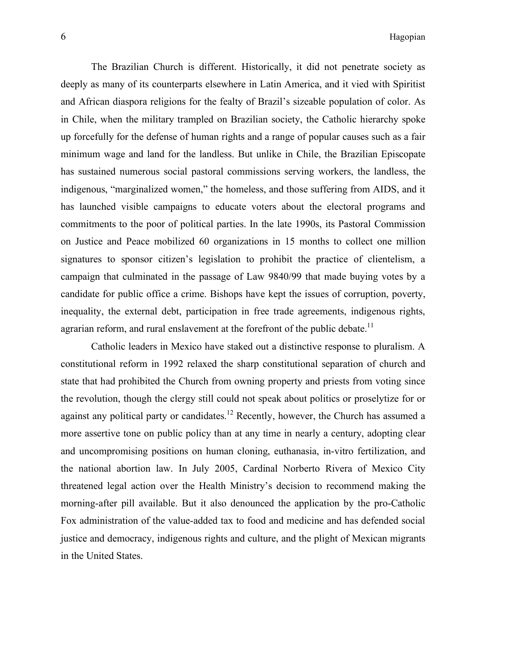The Brazilian Church is different. Historically, it did not penetrate society as deeply as many of its counterparts elsewhere in Latin America, and it vied with Spiritist and African diaspora religions for the fealty of Brazil's sizeable population of color. As in Chile, when the military trampled on Brazilian society, the Catholic hierarchy spoke up forcefully for the defense of human rights and a range of popular causes such as a fair minimum wage and land for the landless. But unlike in Chile, the Brazilian Episcopate has sustained numerous social pastoral commissions serving workers, the landless, the indigenous, "marginalized women," the homeless, and those suffering from AIDS, and it has launched visible campaigns to educate voters about the electoral programs and commitments to the poor of political parties. In the late 1990s, its Pastoral Commission on Justice and Peace mobilized 60 organizations in 15 months to collect one million signatures to sponsor citizen's legislation to prohibit the practice of clientelism, a campaign that culminated in the passage of Law 9840/99 that made buying votes by a candidate for public office a crime. Bishops have kept the issues of corruption, poverty, inequality, the external debt, participation in free trade agreements, indigenous rights, agrarian reform, and rural enslavement at the forefront of the public debate.<sup>11</sup>

Catholic leaders in Mexico have staked out a distinctive response to pluralism. A constitutional reform in 1992 relaxed the sharp constitutional separation of church and state that had prohibited the Church from owning property and priests from voting since the revolution, though the clergy still could not speak about politics or proselytize for or against any political party or candidates.<sup>12</sup> Recently, however, the Church has assumed a more assertive tone on public policy than at any time in nearly a century, adopting clear and uncompromising positions on human cloning, euthanasia, in-vitro fertilization, and the national abortion law. In July 2005, Cardinal Norberto Rivera of Mexico City threatened legal action over the Health Ministry's decision to recommend making the morning-after pill available. But it also denounced the application by the pro-Catholic Fox administration of the value-added tax to food and medicine and has defended social justice and democracy, indigenous rights and culture, and the plight of Mexican migrants in the United States.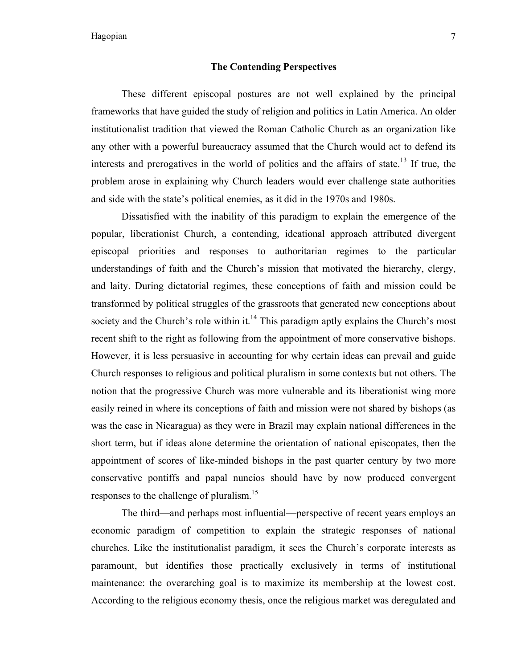# **The Contending Perspectives**

These different episcopal postures are not well explained by the principal frameworks that have guided the study of religion and politics in Latin America. An older institutionalist tradition that viewed the Roman Catholic Church as an organization like any other with a powerful bureaucracy assumed that the Church would act to defend its interests and prerogatives in the world of politics and the affairs of state.<sup>13</sup> If true, the problem arose in explaining why Church leaders would ever challenge state authorities and side with the state's political enemies, as it did in the 1970s and 1980s.

Dissatisfied with the inability of this paradigm to explain the emergence of the popular, liberationist Church, a contending, ideational approach attributed divergent episcopal priorities and responses to authoritarian regimes to the particular understandings of faith and the Church's mission that motivated the hierarchy, clergy, and laity. During dictatorial regimes, these conceptions of faith and mission could be transformed by political struggles of the grassroots that generated new conceptions about society and the Church's role within it.<sup>14</sup> This paradigm aptly explains the Church's most recent shift to the right as following from the appointment of more conservative bishops. However, it is less persuasive in accounting for why certain ideas can prevail and guide Church responses to religious and political pluralism in some contexts but not others. The notion that the progressive Church was more vulnerable and its liberationist wing more easily reined in where its conceptions of faith and mission were not shared by bishops (as was the case in Nicaragua) as they were in Brazil may explain national differences in the short term, but if ideas alone determine the orientation of national episcopates, then the appointment of scores of like-minded bishops in the past quarter century by two more conservative pontiffs and papal nuncios should have by now produced convergent responses to the challenge of pluralism.<sup>15</sup>

The third—and perhaps most influential—perspective of recent years employs an economic paradigm of competition to explain the strategic responses of national churches. Like the institutionalist paradigm, it sees the Church's corporate interests as paramount, but identifies those practically exclusively in terms of institutional maintenance: the overarching goal is to maximize its membership at the lowest cost. According to the religious economy thesis, once the religious market was deregulated and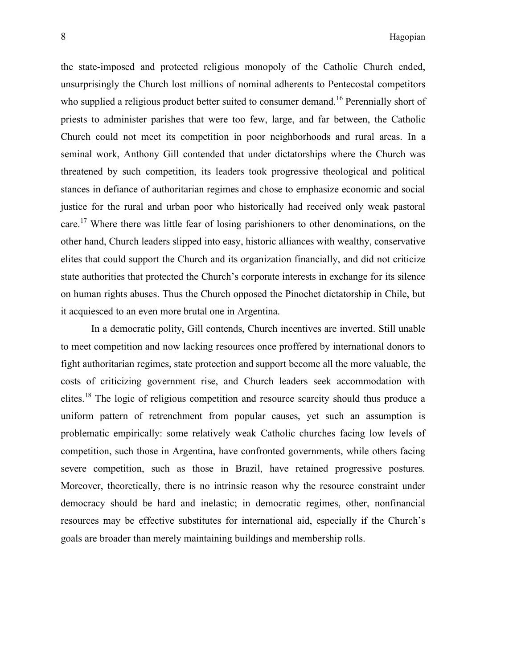the state-imposed and protected religious monopoly of the Catholic Church ended, unsurprisingly the Church lost millions of nominal adherents to Pentecostal competitors who supplied a religious product better suited to consumer demand.<sup>16</sup> Perennially short of priests to administer parishes that were too few, large, and far between, the Catholic Church could not meet its competition in poor neighborhoods and rural areas. In a seminal work, Anthony Gill contended that under dictatorships where the Church was threatened by such competition, its leaders took progressive theological and political stances in defiance of authoritarian regimes and chose to emphasize economic and social justice for the rural and urban poor who historically had received only weak pastoral care.<sup>17</sup> Where there was little fear of losing parishioners to other denominations, on the other hand, Church leaders slipped into easy, historic alliances with wealthy, conservative elites that could support the Church and its organization financially, and did not criticize state authorities that protected the Church's corporate interests in exchange for its silence on human rights abuses. Thus the Church opposed the Pinochet dictatorship in Chile, but it acquiesced to an even more brutal one in Argentina.

In a democratic polity, Gill contends, Church incentives are inverted. Still unable to meet competition and now lacking resources once proffered by international donors to fight authoritarian regimes, state protection and support become all the more valuable, the costs of criticizing government rise, and Church leaders seek accommodation with elites.<sup>18</sup> The logic of religious competition and resource scarcity should thus produce a uniform pattern of retrenchment from popular causes, yet such an assumption is problematic empirically: some relatively weak Catholic churches facing low levels of competition, such those in Argentina, have confronted governments, while others facing severe competition, such as those in Brazil, have retained progressive postures. Moreover, theoretically, there is no intrinsic reason why the resource constraint under democracy should be hard and inelastic; in democratic regimes, other, nonfinancial resources may be effective substitutes for international aid, especially if the Church's goals are broader than merely maintaining buildings and membership rolls.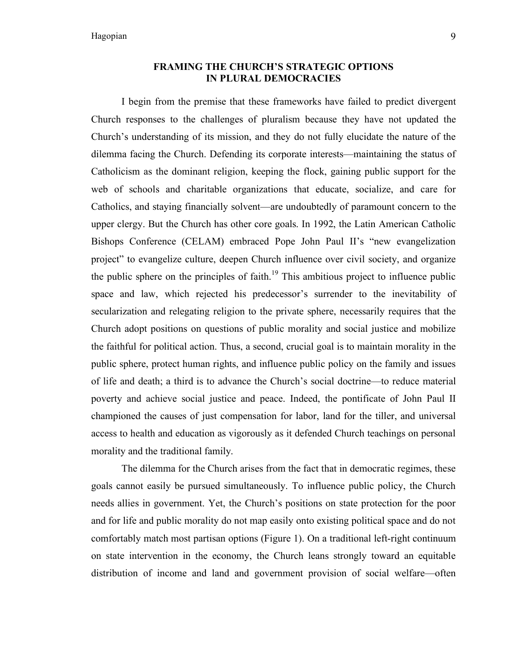# **FRAMING THE CHURCH'S STRATEGIC OPTIONS IN PLURAL DEMOCRACIES**

I begin from the premise that these frameworks have failed to predict divergent Church responses to the challenges of pluralism because they have not updated the Church's understanding of its mission, and they do not fully elucidate the nature of the dilemma facing the Church. Defending its corporate interests—maintaining the status of Catholicism as the dominant religion, keeping the flock, gaining public support for the web of schools and charitable organizations that educate, socialize, and care for Catholics, and staying financially solvent—are undoubtedly of paramount concern to the upper clergy. But the Church has other core goals. In 1992, the Latin American Catholic Bishops Conference (CELAM) embraced Pope John Paul II's "new evangelization project" to evangelize culture, deepen Church influence over civil society, and organize the public sphere on the principles of faith.<sup>19</sup> This ambitious project to influence public space and law, which rejected his predecessor's surrender to the inevitability of secularization and relegating religion to the private sphere, necessarily requires that the Church adopt positions on questions of public morality and social justice and mobilize the faithful for political action. Thus, a second, crucial goal is to maintain morality in the public sphere, protect human rights, and influence public policy on the family and issues of life and death; a third is to advance the Church's social doctrine—to reduce material poverty and achieve social justice and peace. Indeed, the pontificate of John Paul II championed the causes of just compensation for labor, land for the tiller, and universal access to health and education as vigorously as it defended Church teachings on personal morality and the traditional family.

The dilemma for the Church arises from the fact that in democratic regimes, these goals cannot easily be pursued simultaneously. To influence public policy, the Church needs allies in government. Yet, the Church's positions on state protection for the poor and for life and public morality do not map easily onto existing political space and do not comfortably match most partisan options (Figure 1). On a traditional left-right continuum on state intervention in the economy, the Church leans strongly toward an equitable distribution of income and land and government provision of social welfare—often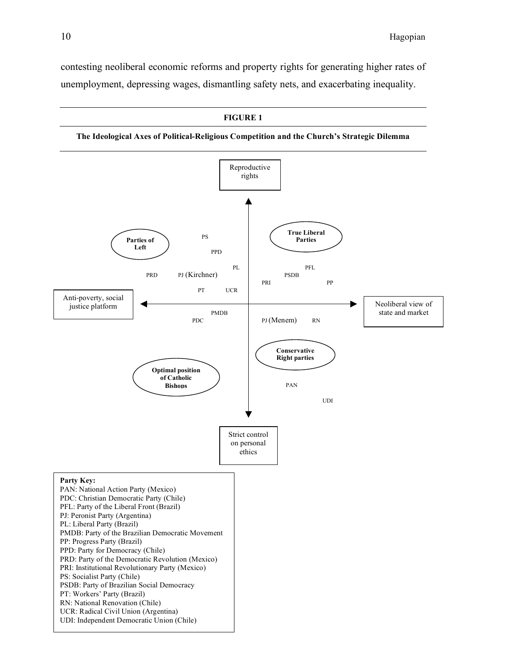contesting neoliberal economic reforms and property rights for generating higher rates of unemployment, depressing wages, dismantling safety nets, and exacerbating inequality.

**FIGURE 1**

**The Ideological Axes of Political-Religious Competition and the Church's Strategic Dilemma**

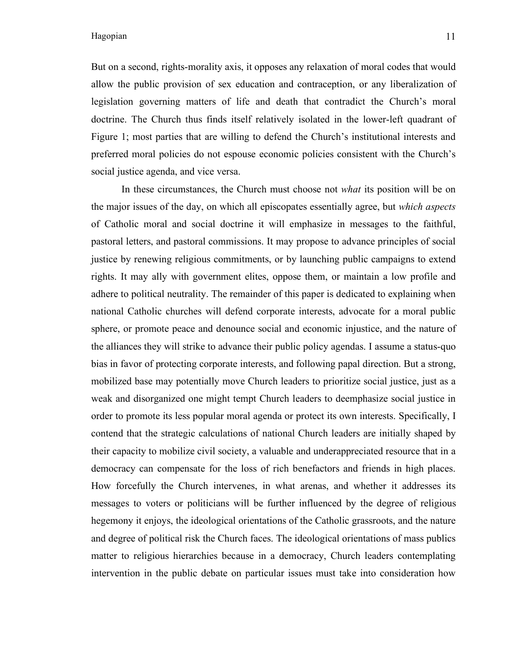But on a second, rights-morality axis, it opposes any relaxation of moral codes that would allow the public provision of sex education and contraception, or any liberalization of legislation governing matters of life and death that contradict the Church's moral doctrine. The Church thus finds itself relatively isolated in the lower-left quadrant of Figure 1; most parties that are willing to defend the Church's institutional interests and preferred moral policies do not espouse economic policies consistent with the Church's social justice agenda, and vice versa.

In these circumstances, the Church must choose not *what* its position will be on the major issues of the day, on which all episcopates essentially agree, but *which aspects* of Catholic moral and social doctrine it will emphasize in messages to the faithful, pastoral letters, and pastoral commissions. It may propose to advance principles of social justice by renewing religious commitments, or by launching public campaigns to extend rights. It may ally with government elites, oppose them, or maintain a low profile and adhere to political neutrality. The remainder of this paper is dedicated to explaining when national Catholic churches will defend corporate interests, advocate for a moral public sphere, or promote peace and denounce social and economic injustice, and the nature of the alliances they will strike to advance their public policy agendas. I assume a status-quo bias in favor of protecting corporate interests, and following papal direction. But a strong, mobilized base may potentially move Church leaders to prioritize social justice, just as a weak and disorganized one might tempt Church leaders to deemphasize social justice in order to promote its less popular moral agenda or protect its own interests. Specifically, I contend that the strategic calculations of national Church leaders are initially shaped by their capacity to mobilize civil society, a valuable and underappreciated resource that in a democracy can compensate for the loss of rich benefactors and friends in high places. How forcefully the Church intervenes, in what arenas, and whether it addresses its messages to voters or politicians will be further influenced by the degree of religious hegemony it enjoys, the ideological orientations of the Catholic grassroots, and the nature and degree of political risk the Church faces. The ideological orientations of mass publics matter to religious hierarchies because in a democracy, Church leaders contemplating intervention in the public debate on particular issues must take into consideration how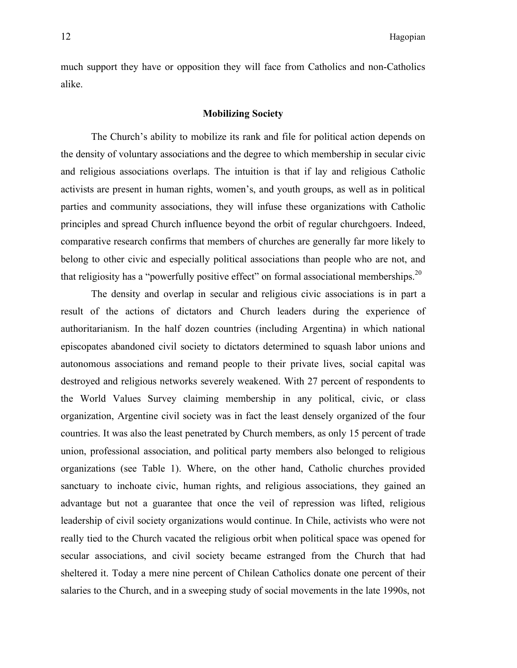much support they have or opposition they will face from Catholics and non-Catholics alike.

# **Mobilizing Society**

The Church's ability to mobilize its rank and file for political action depends on the density of voluntary associations and the degree to which membership in secular civic and religious associations overlaps. The intuition is that if lay and religious Catholic activists are present in human rights, women's, and youth groups, as well as in political parties and community associations, they will infuse these organizations with Catholic principles and spread Church influence beyond the orbit of regular churchgoers. Indeed, comparative research confirms that members of churches are generally far more likely to belong to other civic and especially political associations than people who are not, and that religiosity has a "powerfully positive effect" on formal associational memberships.<sup>20</sup>

The density and overlap in secular and religious civic associations is in part a result of the actions of dictators and Church leaders during the experience of authoritarianism. In the half dozen countries (including Argentina) in which national episcopates abandoned civil society to dictators determined to squash labor unions and autonomous associations and remand people to their private lives, social capital was destroyed and religious networks severely weakened. With 27 percent of respondents to the World Values Survey claiming membership in any political, civic, or class organization, Argentine civil society was in fact the least densely organized of the four countries. It was also the least penetrated by Church members, as only 15 percent of trade union, professional association, and political party members also belonged to religious organizations (see Table 1). Where, on the other hand, Catholic churches provided sanctuary to inchoate civic, human rights, and religious associations, they gained an advantage but not a guarantee that once the veil of repression was lifted, religious leadership of civil society organizations would continue. In Chile, activists who were not really tied to the Church vacated the religious orbit when political space was opened for secular associations, and civil society became estranged from the Church that had sheltered it. Today a mere nine percent of Chilean Catholics donate one percent of their salaries to the Church, and in a sweeping study of social movements in the late 1990s, not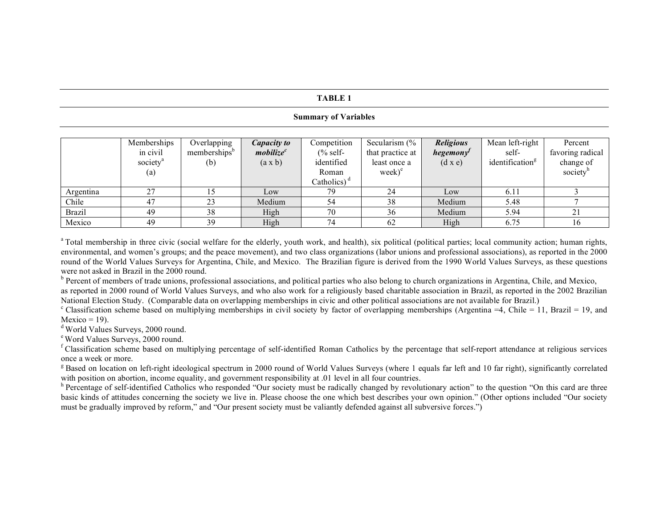#### **TABLE 1**

#### **Summary of Variables**

|               | Memberships          | Overlapping              | Capacity to           | Competition    | Secularism $\frac{6}{6}$   | <b>Religious</b> | Mean left-right             | Percent          |
|---------------|----------------------|--------------------------|-----------------------|----------------|----------------------------|------------------|-----------------------------|------------------|
|               | in civil             | memberships <sup>b</sup> | mobileze <sup>c</sup> | $%$ self-      | that practice at           | hegemony'        | self-                       | favoring radical |
|               | society <sup>a</sup> | (b)                      | $(a \times b)$        | identified     | least once a               | $(d \times e)$   | identification <sup>g</sup> | change of        |
|               | (a)                  |                          |                       | Roman          | $\text{week}$ <sup>e</sup> |                  |                             | society          |
|               |                      |                          |                       | Catholics) $d$ |                            |                  |                             |                  |
| Argentina     | 27                   |                          | Low                   | 79             | 24                         | Low              | 6.11                        |                  |
| Chile         | 47                   | 23                       | Medium                | 54             | 38                         | Medium           | 5.48                        |                  |
| <b>Brazil</b> | 49                   | 38                       | High                  | 70             | 36                         | Medium           | 5.94                        | 21               |
| Mexico        | 49                   | 39                       | High                  | 74             | 62                         | High             | 6.75                        | 16               |

<sup>a</sup> Total membership in three civic (social welfare for the elderly, youth work, and health), six political (political parties; local community action; human rights, environmental, and women's groups; and the peace movement), and two class organizations (labor unions and professional associations), as reported in the 2000 round of the World Values Surveys for Argentina, Chile, and Mexico. The Brazilian figure is derived from the 1990 World Values Surveys, as these questions were not asked in Brazil in the 2000 round.<br><sup>b</sup> Percent of members of trade unions, professional associations, and political parties who also belong to church organizations in Argentina, Chile, and Mexico,

as reported in 2000 round of World Values Surveys, and who also work for a religiously based charitable association in Brazil, as reported in the 2002 Brazilian

National Election Study. (Comparable data on overlapping memberships in civic and other political associations are not available for Brazil.)<br>
<sup>c</sup> Classification scheme based on multiplying memberships in civil society by

Mexico = 19).<br>
<sup>d</sup> World Values Surveys, 2000 round.<br>
<sup>e</sup> Word Values Surveys, 2000 round.<br>
<sup>F</sup> Classification scheme based on multiplying percentage of self-identified Roman Catholics by the percentage that self-report a

<sup>g</sup> Based on location on left-right ideological spectrum in 2000 round of World Values Surveys (where 1 equals far left and 10 far right), significantly correlated with position on abortion, income equality, and government

<sup>h</sup> Percentage of self-identified Catholics who responded "Our society must be radically changed by revolutionary action" to the question "On this card are three basic kinds of attitudes concerning the society we live in. Please choose the one which best describes your own opinion." (Other options included "Our society must be gradually improved by reform," and "Our present society must be valiantly defended against all subversive forces.")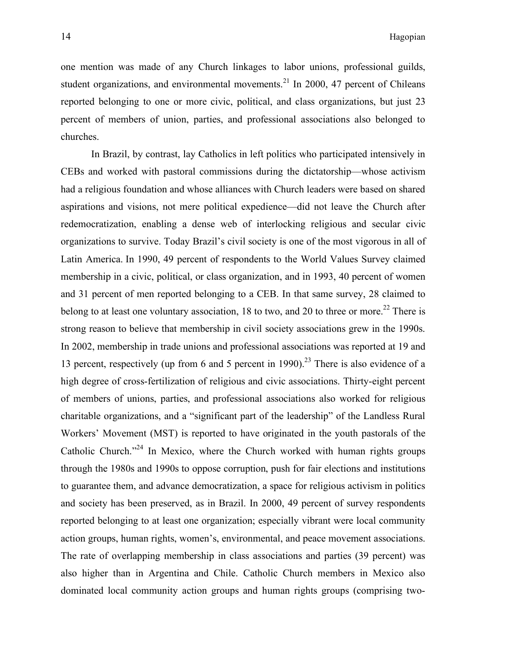one mention was made of any Church linkages to labor unions, professional guilds, student organizations, and environmental movements. $^{21}$  In 2000, 47 percent of Chileans reported belonging to one or more civic, political, and class organizations, but just 23 percent of members of union, parties, and professional associations also belonged to churches.

In Brazil, by contrast, lay Catholics in left politics who participated intensively in CEBs and worked with pastoral commissions during the dictatorship—whose activism had a religious foundation and whose alliances with Church leaders were based on shared aspirations and visions, not mere political expedience—did not leave the Church after redemocratization, enabling a dense web of interlocking religious and secular civic organizations to survive. Today Brazil's civil society is one of the most vigorous in all of Latin America. In 1990, 49 percent of respondents to the World Values Survey claimed membership in a civic, political, or class organization, and in 1993, 40 percent of women and 31 percent of men reported belonging to a CEB. In that same survey, 28 claimed to belong to at least one voluntary association, 18 to two, and 20 to three or more.<sup>22</sup> There is strong reason to believe that membership in civil society associations grew in the 1990s. In 2002, membership in trade unions and professional associations was reported at 19 and 13 percent, respectively (up from 6 and 5 percent in 1990). <sup>23</sup> There is also evidence of a high degree of cross-fertilization of religious and civic associations. Thirty-eight percent of members of unions, parties, and professional associations also worked for religious charitable organizations, and a "significant part of the leadership" of the Landless Rural Workers' Movement (MST) is reported to have originated in the youth pastorals of the Catholic Church."<sup>24</sup> In Mexico, where the Church worked with human rights groups through the 1980s and 1990s to oppose corruption, push for fair elections and institutions to guarantee them, and advance democratization, a space for religious activism in politics and society has been preserved, as in Brazil. In 2000, 49 percent of survey respondents reported belonging to at least one organization; especially vibrant were local community action groups, human rights, women's, environmental, and peace movement associations. The rate of overlapping membership in class associations and parties (39 percent) was also higher than in Argentina and Chile. Catholic Church members in Mexico also dominated local community action groups and human rights groups (comprising two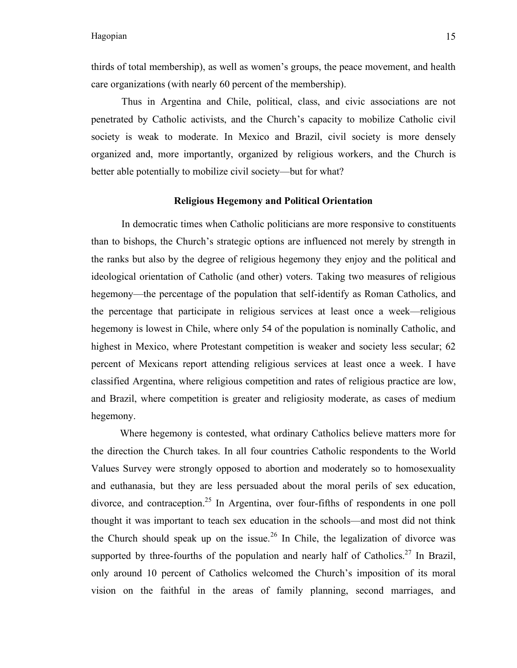thirds of total membership), as well as women's groups, the peace movement, and health care organizations (with nearly 60 percent of the membership).

Thus in Argentina and Chile, political, class, and civic associations are not penetrated by Catholic activists, and the Church's capacity to mobilize Catholic civil society is weak to moderate. In Mexico and Brazil, civil society is more densely organized and, more importantly, organized by religious workers, and the Church is better able potentially to mobilize civil society—but for what?

#### **Religious Hegemony and Political Orientation**

In democratic times when Catholic politicians are more responsive to constituents than to bishops, the Church's strategic options are influenced not merely by strength in the ranks but also by the degree of religious hegemony they enjoy and the political and ideological orientation of Catholic (and other) voters. Taking two measures of religious hegemony—the percentage of the population that self-identify as Roman Catholics, and the percentage that participate in religious services at least once a week—religious hegemony is lowest in Chile, where only 54 of the population is nominally Catholic, and highest in Mexico, where Protestant competition is weaker and society less secular; 62 percent of Mexicans report attending religious services at least once a week. I have classified Argentina, where religious competition and rates of religious practice are low, and Brazil, where competition is greater and religiosity moderate, as cases of medium hegemony.

Where hegemony is contested, what ordinary Catholics believe matters more for the direction the Church takes. In all four countries Catholic respondents to the World Values Survey were strongly opposed to abortion and moderately so to homosexuality and euthanasia, but they are less persuaded about the moral perils of sex education, divorce, and contraception.<sup>25</sup> In Argentina, over four-fifths of respondents in one poll thought it was important to teach sex education in the schools—and most did not think the Church should speak up on the issue.<sup>26</sup> In Chile, the legalization of divorce was supported by three-fourths of the population and nearly half of Catholics.<sup>27</sup> In Brazil, only around 10 percent of Catholics welcomed the Church's imposition of its moral vision on the faithful in the areas of family planning, second marriages, and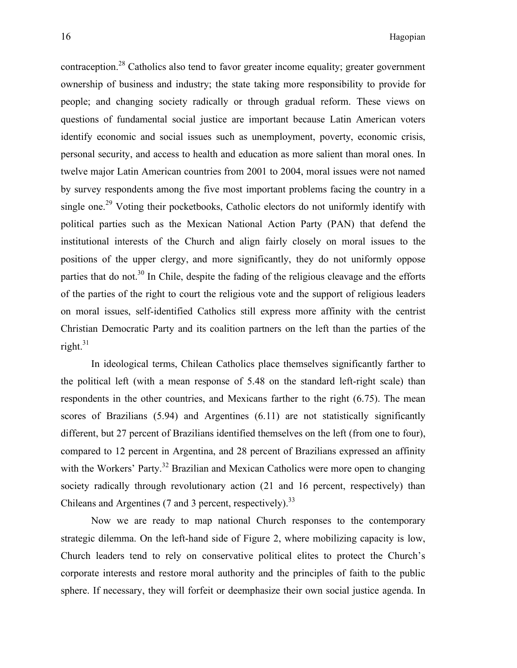contraception.<sup>28</sup> Catholics also tend to favor greater income equality; greater government ownership of business and industry; the state taking more responsibility to provide for people; and changing society radically or through gradual reform. These views on questions of fundamental social justice are important because Latin American voters identify economic and social issues such as unemployment, poverty, economic crisis, personal security, and access to health and education as more salient than moral ones. In twelve major Latin American countries from 2001 to 2004, moral issues were not named by survey respondents among the five most important problems facing the country in a single one.<sup>29</sup> Voting their pocketbooks, Catholic electors do not uniformly identify with political parties such as the Mexican National Action Party (PAN) that defend the institutional interests of the Church and align fairly closely on moral issues to the positions of the upper clergy, and more significantly, they do not uniformly oppose parties that do not.<sup>30</sup> In Chile, despite the fading of the religious cleavage and the efforts of the parties of the right to court the religious vote and the support of religious leaders on moral issues, self-identified Catholics still express more affinity with the centrist Christian Democratic Party and its coalition partners on the left than the parties of the right. 31

In ideological terms, Chilean Catholics place themselves significantly farther to the political left (with a mean response of 5.48 on the standard left-right scale) than respondents in the other countries, and Mexicans farther to the right (6.75). The mean scores of Brazilians  $(5.94)$  and Argentines  $(6.11)$  are not statistically significantly different, but 27 percent of Brazilians identified themselves on the left (from one to four), compared to 12 percent in Argentina, and 28 percent of Brazilians expressed an affinity with the Workers' Party.<sup>32</sup> Brazilian and Mexican Catholics were more open to changing society radically through revolutionary action (21 and 16 percent, respectively) than Chileans and Argentines (7 and 3 percent, respectively).<sup>33</sup>

Now we are ready to map national Church responses to the contemporary strategic dilemma. On the left-hand side of Figure 2, where mobilizing capacity is low, Church leaders tend to rely on conservative political elites to protect the Church's corporate interests and restore moral authority and the principles of faith to the public sphere. If necessary, they will forfeit or deemphasize their own social justice agenda. In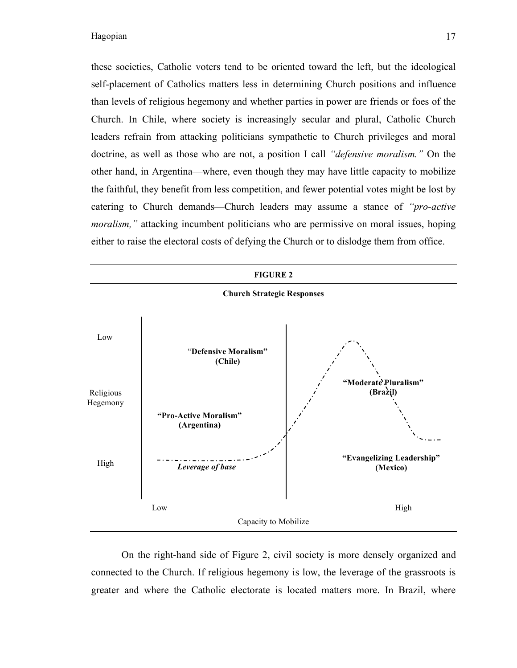these societies, Catholic voters tend to be oriented toward the left, but the ideological self-placement of Catholics matters less in determining Church positions and influence than levels of religious hegemony and whether parties in power are friends or foes of the Church. In Chile, where society is increasingly secular and plural, Catholic Church leaders refrain from attacking politicians sympathetic to Church privileges and moral doctrine, as well as those who are not, a position I call *"defensive moralism."* On the other hand, in Argentina—where, even though they may have little capacity to mobilize the faithful, they benefit from less competition, and fewer potential votes might be lost by catering to Church demands—Church leaders may assume a stance of *"pro-active moralism,*" attacking incumbent politicians who are permissive on moral issues, hoping either to raise the electoral costs of defying the Church or to dislodge them from office.

![](_page_20_Figure_2.jpeg)

On the right-hand side of Figure 2, civil society is more densely organized and connected to the Church. If religious hegemony is low, the leverage of the grassroots is greater and where the Catholic electorate is located matters more. In Brazil, where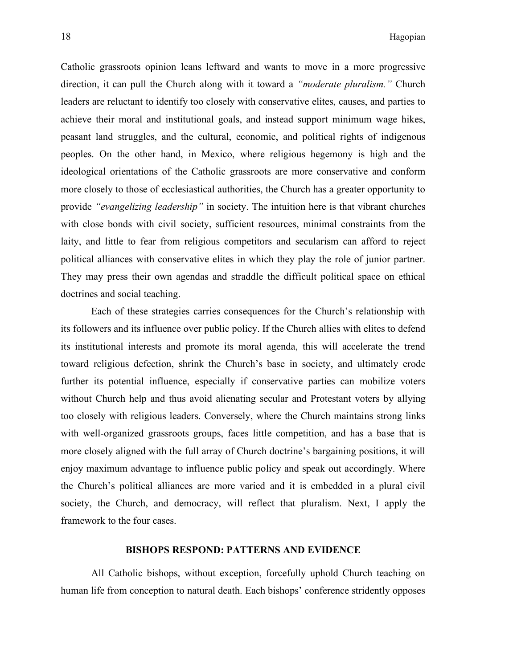Catholic grassroots opinion leans leftward and wants to move in a more progressive direction, it can pull the Church along with it toward a *"moderate pluralism."* Church leaders are reluctant to identify too closely with conservative elites, causes, and parties to achieve their moral and institutional goals, and instead support minimum wage hikes, peasant land struggles, and the cultural, economic, and political rights of indigenous peoples. On the other hand, in Mexico, where religious hegemony is high and the ideological orientations of the Catholic grassroots are more conservative and conform more closely to those of ecclesiastical authorities, the Church has a greater opportunity to provide *"evangelizing leadership"* in society. The intuition here is that vibrant churches with close bonds with civil society, sufficient resources, minimal constraints from the laity, and little to fear from religious competitors and secularism can afford to reject political alliances with conservative elites in which they play the role of junior partner. They may press their own agendas and straddle the difficult political space on ethical doctrines and social teaching.

Each of these strategies carries consequences for the Church's relationship with its followers and its influence over public policy. If the Church allies with elites to defend its institutional interests and promote its moral agenda, this will accelerate the trend toward religious defection, shrink the Church's base in society, and ultimately erode further its potential influence, especially if conservative parties can mobilize voters without Church help and thus avoid alienating secular and Protestant voters by allying too closely with religious leaders. Conversely, where the Church maintains strong links with well-organized grassroots groups, faces little competition, and has a base that is more closely aligned with the full array of Church doctrine's bargaining positions, it will enjoy maximum advantage to influence public policy and speak out accordingly. Where the Church's political alliances are more varied and it is embedded in a plural civil society, the Church, and democracy, will reflect that pluralism. Next, I apply the framework to the four cases.

#### **BISHOPS RESPOND: PATTERNS AND EVIDENCE**

All Catholic bishops, without exception, forcefully uphold Church teaching on human life from conception to natural death. Each bishops' conference stridently opposes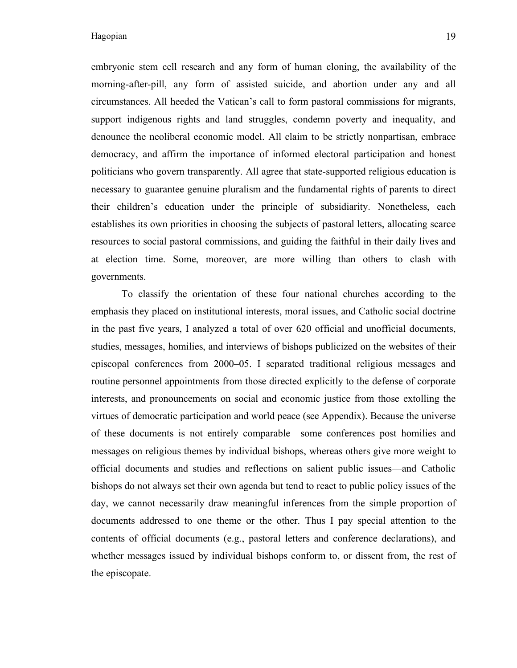embryonic stem cell research and any form of human cloning, the availability of the morning-after-pill, any form of assisted suicide, and abortion under any and all circumstances. All heeded the Vatican's call to form pastoral commissions for migrants, support indigenous rights and land struggles, condemn poverty and inequality, and denounce the neoliberal economic model. All claim to be strictly nonpartisan, embrace democracy, and affirm the importance of informed electoral participation and honest politicians who govern transparently. All agree that state-supported religious education is necessary to guarantee genuine pluralism and the fundamental rights of parents to direct their children's education under the principle of subsidiarity. Nonetheless, each establishes its own priorities in choosing the subjects of pastoral letters, allocating scarce resources to social pastoral commissions, and guiding the faithful in their daily lives and at election time. Some, moreover, are more willing than others to clash with governments.

To classify the orientation of these four national churches according to the emphasis they placed on institutional interests, moral issues, and Catholic social doctrine in the past five years, I analyzed a total of over 620 official and unofficial documents, studies, messages, homilies, and interviews of bishops publicized on the websites of their episcopal conferences from 2000–05. I separated traditional religious messages and routine personnel appointments from those directed explicitly to the defense of corporate interests, and pronouncements on social and economic justice from those extolling the virtues of democratic participation and world peace (see Appendix). Because the universe of these documents is not entirely comparable—some conferences post homilies and messages on religious themes by individual bishops, whereas others give more weight to official documents and studies and reflections on salient public issues—and Catholic bishops do not always set their own agenda but tend to react to public policy issues of the day, we cannot necessarily draw meaningful inferences from the simple proportion of documents addressed to one theme or the other. Thus I pay special attention to the contents of official documents (e.g., pastoral letters and conference declarations), and whether messages issued by individual bishops conform to, or dissent from, the rest of the episcopate.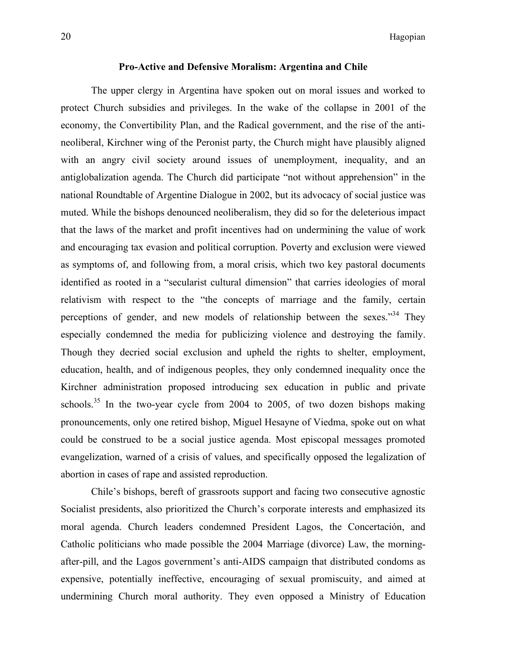# **Pro-Active and Defensive Moralism: Argentina and Chile**

The upper clergy in Argentina have spoken out on moral issues and worked to protect Church subsidies and privileges. In the wake of the collapse in 2001 of the economy, the Convertibility Plan, and the Radical government, and the rise of the antineoliberal, Kirchner wing of the Peronist party, the Church might have plausibly aligned with an angry civil society around issues of unemployment, inequality, and an antiglobalization agenda. The Church did participate "not without apprehension" in the national Roundtable of Argentine Dialogue in 2002, but its advocacy of social justice was muted. While the bishops denounced neoliberalism, they did so for the deleterious impact that the laws of the market and profit incentives had on undermining the value of work and encouraging tax evasion and political corruption. Poverty and exclusion were viewed as symptoms of, and following from, a moral crisis, which two key pastoral documents identified as rooted in a "secularist cultural dimension" that carries ideologies of moral relativism with respect to the "the concepts of marriage and the family, certain perceptions of gender, and new models of relationship between the sexes."<sup>34</sup> They especially condemned the media for publicizing violence and destroying the family. Though they decried social exclusion and upheld the rights to shelter, employment, education, health, and of indigenous peoples, they only condemned inequality once the Kirchner administration proposed introducing sex education in public and private schools.<sup>35</sup> In the two-year cycle from 2004 to 2005, of two dozen bishops making pronouncements, only one retired bishop, Miguel Hesayne of Viedma, spoke out on what could be construed to be a social justice agenda. Most episcopal messages promoted evangelization, warned of a crisis of values, and specifically opposed the legalization of abortion in cases of rape and assisted reproduction.

Chile's bishops, bereft of grassroots support and facing two consecutive agnostic Socialist presidents, also prioritized the Church's corporate interests and emphasized its moral agenda. Church leaders condemned President Lagos, the Concertación, and Catholic politicians who made possible the 2004 Marriage (divorce) Law, the morningafter-pill, and the Lagos government's anti-AIDS campaign that distributed condoms as expensive, potentially ineffective, encouraging of sexual promiscuity, and aimed at undermining Church moral authority. They even opposed a Ministry of Education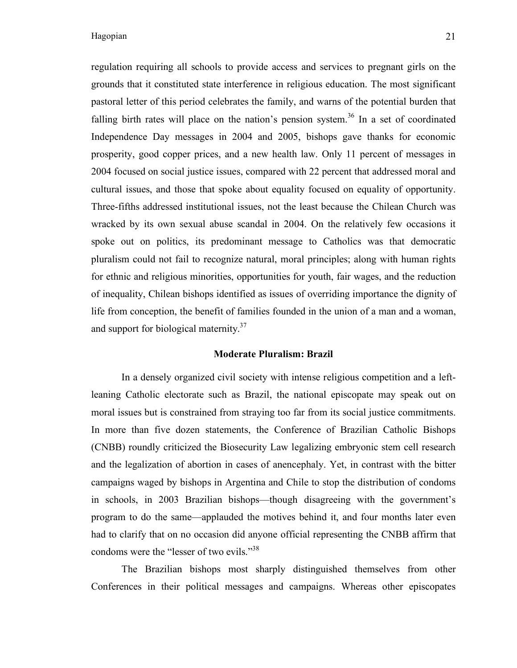regulation requiring all schools to provide access and services to pregnant girls on the grounds that it constituted state interference in religious education. The most significant pastoral letter of this period celebrates the family, and warns of the potential burden that falling birth rates will place on the nation's pension system.<sup>36</sup> In a set of coordinated Independence Day messages in 2004 and 2005, bishops gave thanks for economic prosperity, good copper prices, and a new health law. Only 11 percent of messages in 2004 focused on social justice issues, compared with 22 percent that addressed moral and cultural issues, and those that spoke about equality focused on equality of opportunity. Three-fifths addressed institutional issues, not the least because the Chilean Church was wracked by its own sexual abuse scandal in 2004. On the relatively few occasions it spoke out on politics, its predominant message to Catholics was that democratic pluralism could not fail to recognize natural, moral principles; along with human rights for ethnic and religious minorities, opportunities for youth, fair wages, and the reduction of inequality, Chilean bishops identified as issues of overriding importance the dignity of life from conception, the benefit of families founded in the union of a man and a woman, and support for biological maternity.<sup>37</sup>

#### **Moderate Pluralism: Brazil**

In a densely organized civil society with intense religious competition and a leftleaning Catholic electorate such as Brazil, the national episcopate may speak out on moral issues but is constrained from straying too far from its social justice commitments. In more than five dozen statements, the Conference of Brazilian Catholic Bishops (CNBB) roundly criticized the Biosecurity Law legalizing embryonic stem cell research and the legalization of abortion in cases of anencephaly. Yet, in contrast with the bitter campaigns waged by bishops in Argentina and Chile to stop the distribution of condoms in schools, in 2003 Brazilian bishops—though disagreeing with the government's program to do the same—applauded the motives behind it, and four months later even had to clarify that on no occasion did anyone official representing the CNBB affirm that condoms were the "lesser of two evils."<sup>38</sup>

The Brazilian bishops most sharply distinguished themselves from other Conferences in their political messages and campaigns. Whereas other episcopates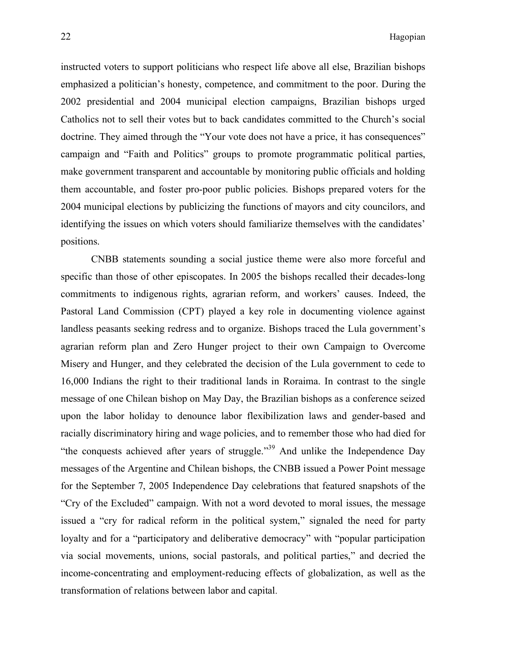instructed voters to support politicians who respect life above all else, Brazilian bishops emphasized a politician's honesty, competence, and commitment to the poor. During the 2002 presidential and 2004 municipal election campaigns, Brazilian bishops urged Catholics not to sell their votes but to back candidates committed to the Church's social doctrine. They aimed through the "Your vote does not have a price, it has consequences" campaign and "Faith and Politics" groups to promote programmatic political parties, make government transparent and accountable by monitoring public officials and holding them accountable, and foster pro-poor public policies. Bishops prepared voters for the 2004 municipal elections by publicizing the functions of mayors and city councilors, and identifying the issues on which voters should familiarize themselves with the candidates' positions.

CNBB statements sounding a social justice theme were also more forceful and specific than those of other episcopates. In 2005 the bishops recalled their decades-long commitments to indigenous rights, agrarian reform, and workers' causes. Indeed, the Pastoral Land Commission (CPT) played a key role in documenting violence against landless peasants seeking redress and to organize. Bishops traced the Lula government's agrarian reform plan and Zero Hunger project to their own Campaign to Overcome Misery and Hunger, and they celebrated the decision of the Lula government to cede to 16,000 Indians the right to their traditional lands in Roraima. In contrast to the single message of one Chilean bishop on May Day, the Brazilian bishops as a conference seized upon the labor holiday to denounce labor flexibilization laws and gender-based and racially discriminatory hiring and wage policies, and to remember those who had died for "the conquests achieved after years of struggle."<sup>39</sup> And unlike the Independence Day messages of the Argentine and Chilean bishops, the CNBB issued a Power Point message for the September 7, 2005 Independence Day celebrations that featured snapshots of the "Cry of the Excluded" campaign. With not a word devoted to moral issues, the message issued a "cry for radical reform in the political system," signaled the need for party loyalty and for a "participatory and deliberative democracy" with "popular participation via social movements, unions, social pastorals, and political parties," and decried the income-concentrating and employment-reducing effects of globalization, as well as the transformation of relations between labor and capital.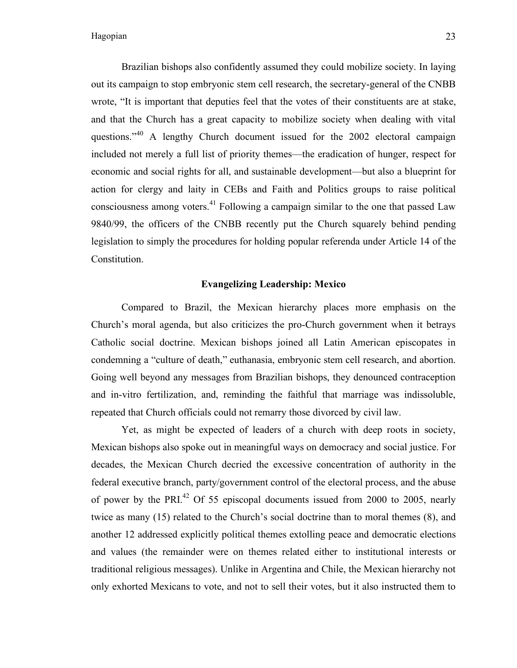Brazilian bishops also confidently assumed they could mobilize society. In laying out its campaign to stop embryonic stem cell research, the secretary-general of the CNBB wrote, "It is important that deputies feel that the votes of their constituents are at stake, and that the Church has a great capacity to mobilize society when dealing with vital questions."<sup>40</sup> A lengthy Church document issued for the 2002 electoral campaign included not merely a full list of priority themes—the eradication of hunger, respect for economic and social rights for all, and sustainable development—but also a blueprint for action for clergy and laity in CEBs and Faith and Politics groups to raise political consciousness among voters.<sup>41</sup> Following a campaign similar to the one that passed Law 9840/99, the officers of the CNBB recently put the Church squarely behind pending legislation to simply the procedures for holding popular referenda under Article 14 of the Constitution.

# **Evangelizing Leadership: Mexico**

Compared to Brazil, the Mexican hierarchy places more emphasis on the Church's moral agenda, but also criticizes the pro-Church government when it betrays Catholic social doctrine. Mexican bishops joined all Latin American episcopates in condemning a "culture of death," euthanasia, embryonic stem cell research, and abortion. Going well beyond any messages from Brazilian bishops, they denounced contraception and in-vitro fertilization, and, reminding the faithful that marriage was indissoluble, repeated that Church officials could not remarry those divorced by civil law.

Yet, as might be expected of leaders of a church with deep roots in society, Mexican bishops also spoke out in meaningful ways on democracy and social justice. For decades, the Mexican Church decried the excessive concentration of authority in the federal executive branch, party/government control of the electoral process, and the abuse of power by the PRI $^{42}$  Of 55 episcopal documents issued from 2000 to 2005, nearly twice as many (15) related to the Church's social doctrine than to moral themes (8), and another 12 addressed explicitly political themes extolling peace and democratic elections and values (the remainder were on themes related either to institutional interests or traditional religious messages). Unlike in Argentina and Chile, the Mexican hierarchy not only exhorted Mexicans to vote, and not to sell their votes, but it also instructed them to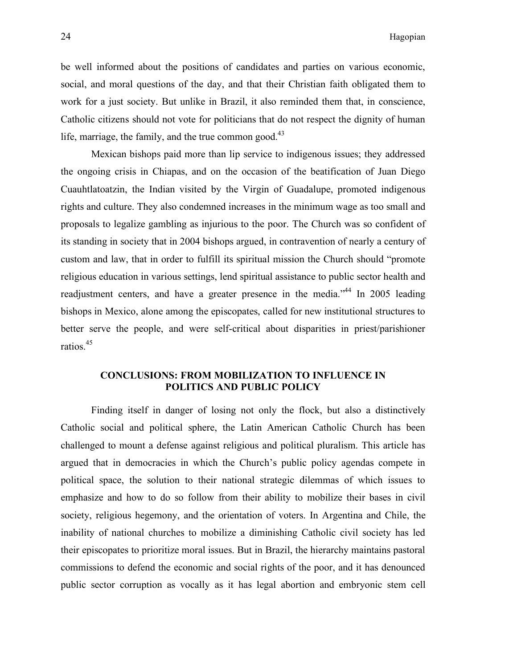be well informed about the positions of candidates and parties on various economic, social, and moral questions of the day, and that their Christian faith obligated them to work for a just society. But unlike in Brazil, it also reminded them that, in conscience, Catholic citizens should not vote for politicians that do not respect the dignity of human life, marriage, the family, and the true common good. $^{43}$ 

Mexican bishops paid more than lip service to indigenous issues; they addressed the ongoing crisis in Chiapas, and on the occasion of the beatification of Juan Diego Cuauhtlatoatzin, the Indian visited by the Virgin of Guadalupe, promoted indigenous rights and culture. They also condemned increases in the minimum wage as too small and proposals to legalize gambling as injurious to the poor. The Church was so confident of its standing in society that in 2004 bishops argued, in contravention of nearly a century of custom and law, that in order to fulfill its spiritual mission the Church should "promote religious education in various settings, lend spiritual assistance to public sector health and readjustment centers, and have a greater presence in the media.<sup>44</sup> In 2005 leading bishops in Mexico, alone among the episcopates, called for new institutional structures to better serve the people, and were self-critical about disparities in priest/parishioner ratios. 45

# **CONCLUSIONS: FROM MOBILIZATION TO INFLUENCE IN POLITICS AND PUBLIC POLICY**

Finding itself in danger of losing not only the flock, but also a distinctively Catholic social and political sphere, the Latin American Catholic Church has been challenged to mount a defense against religious and political pluralism. This article has argued that in democracies in which the Church's public policy agendas compete in political space, the solution to their national strategic dilemmas of which issues to emphasize and how to do so follow from their ability to mobilize their bases in civil society, religious hegemony, and the orientation of voters. In Argentina and Chile, the inability of national churches to mobilize a diminishing Catholic civil society has led their episcopates to prioritize moral issues. But in Brazil, the hierarchy maintains pastoral commissions to defend the economic and social rights of the poor, and it has denounced public sector corruption as vocally as it has legal abortion and embryonic stem cell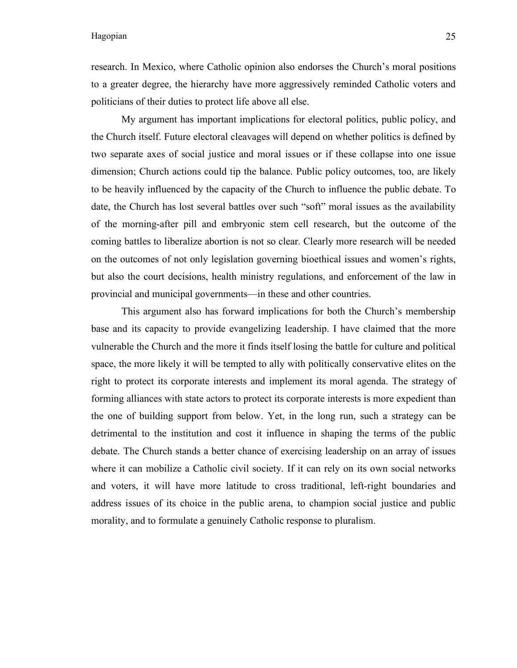research. In Mexico, where Catholic opinion also endorses the Church's moral positions to a greater degree, the hierarchy have more aggressively reminded Catholic voters and politicians of their duties to protect life above all else.

My argument has important implications for electoral politics, public policy, and the Church itself. Future electoral cleavages will depend on whether politics is defined by two separate axes of social justice and moral issues or if these collapse into one issue dimension; Church actions could tip the balance. Public policy outcomes, too, are likely to be heavily influenced by the capacity of the Church to influence the public debate. To date, the Church has lost several battles over such "soft" moral issues as the availability of the morning-after pill and embryonic stem cell research, but the outcome of the coming battles to liberalize abortion is not so clear. Clearly more research will be needed on the outcomes of not only legislation governing bioethical issues and women's rights, but also the court decisions, health ministry regulations, and enforcement of the law in provincial and municipal governments—in these and other countries.

This argument also has forward implications for both the Church's membership base and its capacity to provide evangelizing leadership. I have claimed that the more vulnerable the Church and the more it finds itself losing the battle for culture and political space, the more likely it will be tempted to ally with politically conservative elites on the right to protect its corporate interests and implement its moral agenda. The strategy of forming alliances with state actors to protect its corporate interests is more expedient than the one of building support from below. Yet, in the long run, such a strategy can be detrimental to the institution and cost it influence in shaping the terms of the public debate. The Church stands a better chance of exercising leadership on an array of issues where it can mobilize a Catholic civil society. If it can rely on its own social networks and voters, it will have more latitude to cross traditional, left-right boundaries and address issues of its choice in the public arena, to champion social justice and public morality, and to formulate a genuinely Catholic response to pluralism.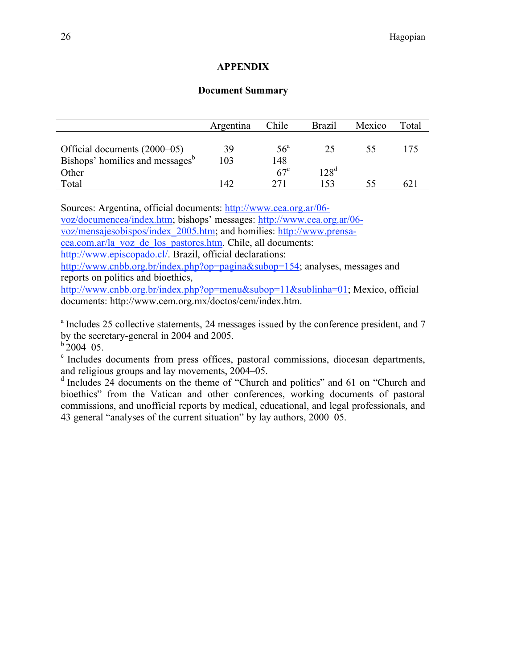# **APPENDIX**

# **Document Summary**

|                                             | Argentina | Chile        | <b>Brazil</b>    | Mexico | Total |
|---------------------------------------------|-----------|--------------|------------------|--------|-------|
|                                             |           |              |                  |        |       |
| Official documents (2000–05)                | 39        | $56^{\circ}$ | 25               | 55     | 175   |
| Bishops' homilies and messages <sup>b</sup> | 103       | 148          |                  |        |       |
| Other                                       |           | $67^{\circ}$ | 128 <sup>d</sup> |        |       |
| Total                                       | 142       | 271          | 153              |        | 62    |

Sources: Argentina, official documents: http://www.cea.org.ar/06-

voz/documencea/index.htm; bishops' messages: http://www.cea.org.ar/06-

voz/mensajesobispos/index\_2005.htm; and homilies: http://www.prensa-

cea.com.ar/la\_voz\_de\_los\_pastores.htm. Chile, all documents:

http://www.episcopado.cl/. Brazil, official declarations:

http://www.cnbb.org.br/index.php?op=pagina&subop=154; analyses, messages and reports on politics and bioethics,

http://www.cnbb.org.br/index.php?op=menu&subop=11&sublinha=01; Mexico, official documents: http://www.cem.org.mx/doctos/cem/index.htm.

<sup>a</sup> Includes 25 collective statements, 24 messages issued by the conference president, and 7 by the secretary-general in 2004 and 2005.<br> $b$  2004–05.

<sup>c</sup> Includes documents from press offices, pastoral commissions, diocesan departments, and religious groups and lay movements, 2004–05.

<sup>d</sup> Includes 24 documents on the theme of "Church and politics" and 61 on "Church and bioethics" from the Vatican and other conferences, working documents of pastoral commissions, and unofficial reports by medical, educational, and legal professionals, and 43 general "analyses of the current situation" by lay authors, 2000–05.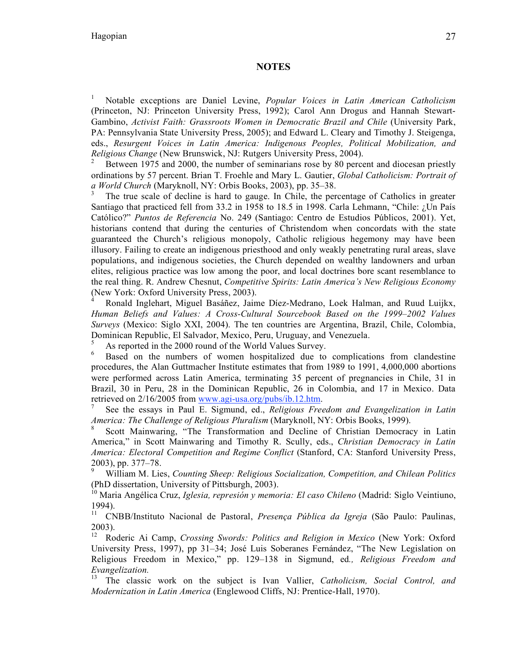## **NOTES**

<sup>1</sup> Notable exceptions are Daniel Levine, *Popular Voices in Latin American Catholicism* (Princeton, NJ: Princeton University Press, 1992); Carol Ann Drogus and Hannah Stewart-Gambino, *Activist Faith: Grassroots Women in Democratic Brazil and Chile* (University Park, PA: Pennsylvania State University Press, 2005); and Edward L. Cleary and Timothy J. Steigenga, eds., *Resurgent Voices in Latin America: Indigenous Peoples, Political Mobilization, and Religious Change* (New Brunswick, NJ: Rutgers University Press, 2004).

<sup>2</sup> Between 1975 and 2000, the number of seminarians rose by 80 percent and diocesan priestly ordinations by 57 percent. Brian T. Froehle and Mary L. Gautier, *Global Catholicism: Portrait of a World Church* (Maryknoll, NY: Orbis Books, 2003), pp. 35–38.<br><sup>3</sup> The true scale of decline is hard to gauge. In Chile, the percentage of Catholics in greater

Santiago that practiced fell from 33.2 in 1958 to 18.5 in 1998. Carla Lehmann, "Chile: ¿Un País Católico?" *Puntos de Referencia* No. 249 (Santiago: Centro de Estudios Públicos, 2001). Yet, historians contend that during the centuries of Christendom when concordats with the state guaranteed the Church's religious monopoly, Catholic religious hegemony may have been illusory. Failing to create an indigenous priesthood and only weakly penetrating rural areas, slave populations, and indigenous societies, the Church depended on wealthy landowners and urban elites, religious practice was low among the poor, and local doctrines bore scant resemblance to the real thing. R. Andrew Chesnut, *Competitive Spirits: Latin America's New Religious Economy* (New York: Oxford University Press, 2003).

<sup>4</sup> Ronald Inglehart, Miguel Basáñez, Jaime Díez-Medrano, Loek Halman, and Ruud Luijkx, *Human Beliefs and Values: A Cross-Cultural Sourcebook Based on the 1999–2002 Values Surveys* (Mexico: Siglo XXI, 2004). The ten countries are Argentina, Brazil, Chile, Colombia, Dominican Republic, El Salvador, Mexico, Peru, Uruguay, and Venezuela.<br><sup>5</sup> As reported in the 2000 round of the World Values Survey.<br><sup>6</sup> Based on the numbers of women hospitalized due to complications from clandestine

procedures, the Alan Guttmacher Institute estimates that from 1989 to 1991, 4,000,000 abortions were performed across Latin America, terminating 35 percent of pregnancies in Chile, 31 in Brazil, 30 in Peru, 28 in the Dominican Republic, 26 in Colombia, and 17 in Mexico. Data retrieved on 2/16/2005 from www.agi-usa.org/pubs/ib.12.htm.<br><sup>7</sup> See the essays in Paul E. Sigmund, ed., *Religious Freedom and Evangelization in Latin* 

*America: The Challenge of Religious Pluralism* (Maryknoll, NY: Orbis Books, 1999).<br><sup>8</sup> Scott Mainwaring, "The Transformation and Decline of Christian Democracy in Latin

America," in Scott Mainwaring and Timothy R. Scully, eds., *Christian Democracy in Latin America: Electoral Competition and Regime Conflict* (Stanford, CA: Stanford University Press, 2003), pp. 377–78. <sup>9</sup> William M. Lies, *Counting Sheep: Religious Socialization, Competition, and Chilean Politics*

(PhD dissertation, University of Pittsburgh, 2003). <sup>10</sup> Maria Angélica Cruz, *Iglesia, represión y memoria: El caso Chileno* (Madrid: Siglo Veintiuno, 1994).

<sup>11</sup> CNBB/Instituto Nacional de Pastoral, *Presença Pública da Igreja* (São Paulo: Paulinas,  $2003$ ).

<sup>12</sup> Roderic Ai Camp, *Crossing Swords: Politics and Religion in Mexico* (New York: Oxford University Press, 1997), pp 31–34; José Luis Soberanes Fernández, "The New Legislation on Religious Freedom in Mexico," pp. 129–138 in Sigmund, ed*., Religious Freedom and Evangelization.* <sup>13</sup> The classic work on the subject is Ivan Vallier, *Catholicism, Social Control, and*

*Modernization in Latin America* (Englewood Cliffs, NJ: Prentice-Hall, 1970).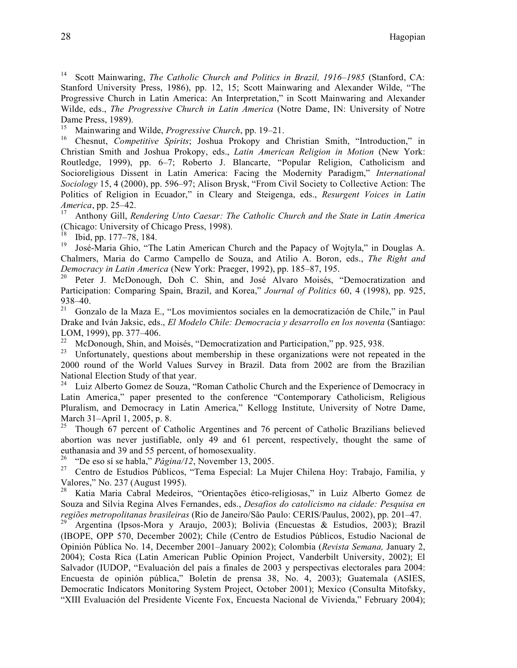<sup>14</sup> Scott Mainwaring, *The Catholic Church and Politics in Brazil, 1916–1985* (Stanford, CA: Stanford University Press, 1986), pp. 12, 15; Scott Mainwaring and Alexander Wilde, "The Progressive Church in Latin America: An Interpretation," in Scott Mainwaring and Alexander Wilde, eds., *The Progressive Church in Latin America* (Notre Dame, IN: University of Notre Dame Press, 1989).<br><sup>15</sup> Mainwaring and Wilde, *Progressive Church*, pp. 19–21.

<sup>16</sup> Chesnut, *Competitive Spirits*; Joshua Prokopy and Christian Smith, "Introduction," in Christian Smith and Joshua Prokopy, eds., *Latin American Religion in Motion* (New York: Routledge, 1999), pp. 6–7; Roberto J. Blancarte, "Popular Religion, Catholicism and Socioreligious Dissent in Latin America: Facing the Modernity Paradigm," *International Sociology* 15, 4 (2000), pp. 596–97; Alison Brysk, "From Civil Society to Collective Action: The Politics of Religion in Ecuador," in Cleary and Steigenga, eds., *Resurgent Voices in Latin America*, pp. 25–42. <sup>17</sup> Anthony Gill, *Rendering Unto Caesar: The Catholic Church and the State in Latin America*

(Chicago: University of Chicago Press, 1998).

<sup>18</sup> Ibid, pp. 177–78, 184.<br><sup>19</sup> José-Maria Ghio, "The Latin American Church and the Papacy of Wojtyla," in Douglas A. Chalmers, Maria do Carmo Campello de Souza, and Atilio A. Boron, eds., *The Right and*

*Democracy in Latin America* (New York: Praeger, 1992), pp. 185–87, 195.<br><sup>20</sup> Peter J. McDonough, Doh C. Shin, and José Alvaro Moisés, "Democratization and Participation: Comparing Spain, Brazil, and Korea," *Journal of Politics* 60, 4 (1998), pp. 925,

938–40.<br><sup>21</sup> Gonzalo de la Maza E., "Los movimientos sociales en la democratización de Chile," in Paul Drake and Iván Jaksic, eds., *El Modelo Chile: Democracia y desarrollo en los noventa* (Santiago:

<sup>22</sup> McDonough, Shin, and Moisés, "Democratization and Participation," pp. 925, 938.<br><sup>23</sup> Unfortunately, questions about membership in these organizations were not repeated in the

2000 round of the World Values Survey in Brazil. Data from 2002 are from the Brazilian National Election Study of that year.<br><sup>24</sup> Luiz Alberto Gomez de Souza, "Roman Catholic Church and the Experience of Democracy in

Latin America," paper presented to the conference "Contemporary Catholicism, Religious Pluralism, and Democracy in Latin America," Kellogg Institute, University of Notre Dame, March 31–April 1, 2005, p. 8.<br><sup>25</sup> Though 67 percent of Catholic Argentines and 76 percent of Catholic Brazilians believed

abortion was never justifiable, only 49 and 61 percent, respectively, thought the same of euthanasia and 39 and 55 percent, of homosexuality.<br><sup>26</sup> "De eso sí se habla," *Página/12*, November 13, 2005.<br><sup>27</sup> Centro de Estudios Públicos, "Tema Especial: La Mujer Chilena Hoy: Trabajo, Familia, y

Valores," No. 237 (August 1995).

<sup>28</sup> Katia Maria Cabral Medeiros, "Orientações ético-religiosas," in Luiz Alberto Gomez de Souza and Silvia Regina Alves Fernandes, eds., *Desafios do catolicismo na cidade: Pesquisa en*

*Argentina* (Ipsos-Mora y Araujo, 2003); Bolivia (Encuestas & Estudios, 2003); Brazil (IBOPE, OPP 570, December 2002); Chile (Centro de Estudios Públicos, Estudio Nacional de Opinión Pública No. 14, December 2001–January 2002); Colombia (*Revista Semana,* January 2, 2004); Costa Rica (Latin American Public Opinion Project, Vanderbilt University, 2002); El Salvador (IUDOP, "Evaluación del país a finales de 2003 y perspectivas electorales para 2004: Encuesta de opinión pública," Boletín de prensa 38, No. 4, 2003); Guatemala (ASIES, Democratic Indicators Monitoring System Project, October 2001); Mexico (Consulta Mitofsky, "XIII Evaluación del Presidente Vicente Fox, Encuesta Nacional de Vivienda," February 2004);